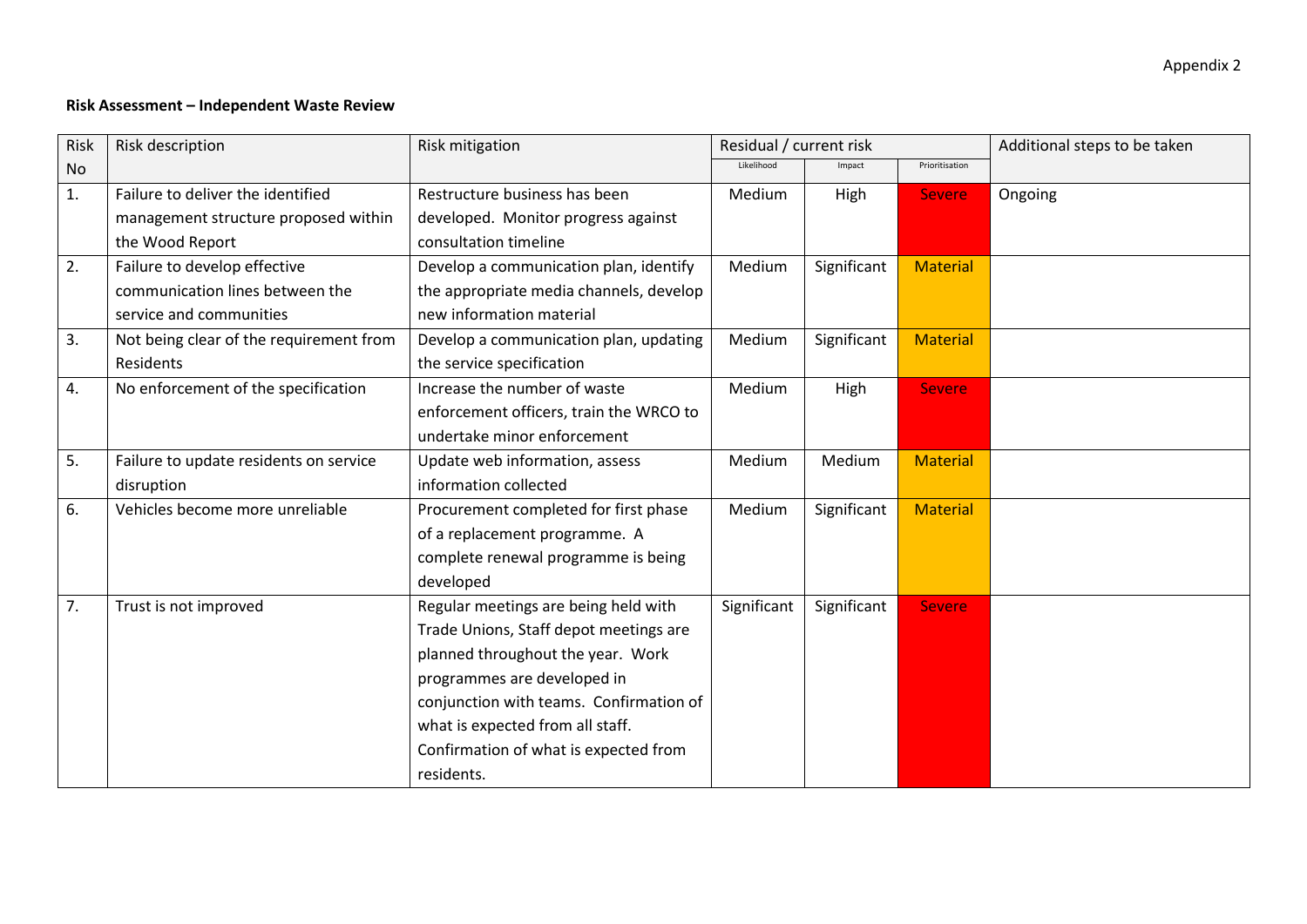## **Risk Assessment – Independent Waste Review**

| Risk           | Risk description                        | Risk mitigation                         | Residual / current risk |             |                 | Additional steps to be taken |
|----------------|-----------------------------------------|-----------------------------------------|-------------------------|-------------|-----------------|------------------------------|
| N <sub>o</sub> |                                         |                                         | Likelihood              | Impact      | Prioritisation  |                              |
| 1.             | Failure to deliver the identified       | Restructure business has been           | Medium                  | High        | <b>Severe</b>   | Ongoing                      |
|                | management structure proposed within    | developed. Monitor progress against     |                         |             |                 |                              |
|                | the Wood Report                         | consultation timeline                   |                         |             |                 |                              |
| 2.             | Failure to develop effective            | Develop a communication plan, identify  | Medium                  | Significant | <b>Material</b> |                              |
|                | communication lines between the         | the appropriate media channels, develop |                         |             |                 |                              |
|                | service and communities                 | new information material                |                         |             |                 |                              |
| 3.             | Not being clear of the requirement from | Develop a communication plan, updating  | Medium                  | Significant | <b>Material</b> |                              |
|                | Residents                               | the service specification               |                         |             |                 |                              |
| 4.             | No enforcement of the specification     | Increase the number of waste            | Medium                  | High        | <b>Severe</b>   |                              |
|                |                                         | enforcement officers, train the WRCO to |                         |             |                 |                              |
|                |                                         | undertake minor enforcement             |                         |             |                 |                              |
| 5.             | Failure to update residents on service  | Update web information, assess          | Medium                  | Medium      | <b>Material</b> |                              |
|                | disruption                              | information collected                   |                         |             |                 |                              |
| 6.             | Vehicles become more unreliable         | Procurement completed for first phase   | Medium                  | Significant | <b>Material</b> |                              |
|                |                                         | of a replacement programme. A           |                         |             |                 |                              |
|                |                                         | complete renewal programme is being     |                         |             |                 |                              |
|                |                                         | developed                               |                         |             |                 |                              |
| 7.             | Trust is not improved                   | Regular meetings are being held with    | Significant             | Significant | <b>Severe</b>   |                              |
|                |                                         | Trade Unions, Staff depot meetings are  |                         |             |                 |                              |
|                |                                         | planned throughout the year. Work       |                         |             |                 |                              |
|                |                                         | programmes are developed in             |                         |             |                 |                              |
|                |                                         | conjunction with teams. Confirmation of |                         |             |                 |                              |
|                |                                         | what is expected from all staff.        |                         |             |                 |                              |
|                |                                         | Confirmation of what is expected from   |                         |             |                 |                              |
|                |                                         | residents.                              |                         |             |                 |                              |